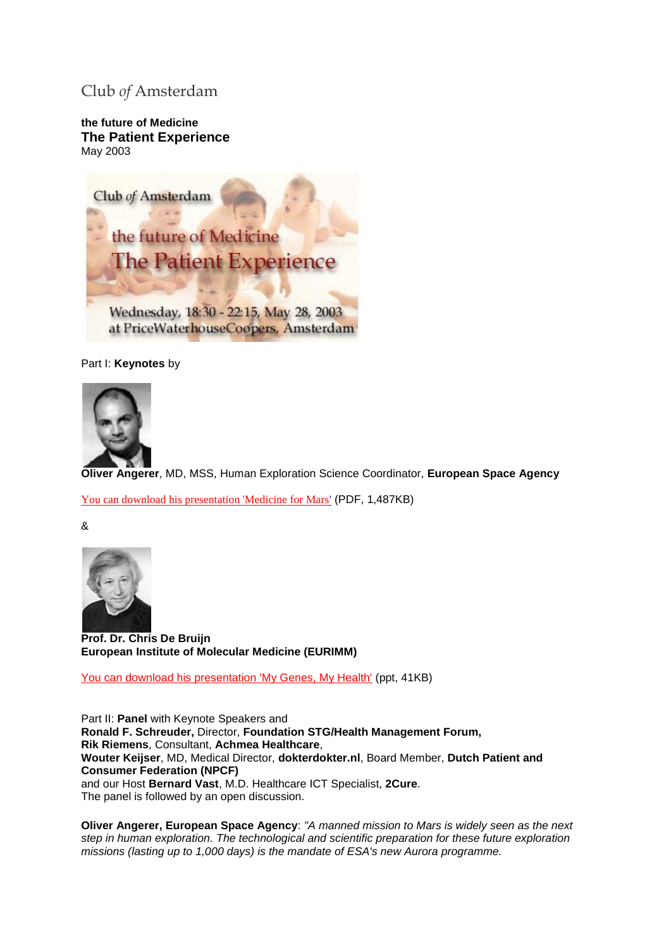# Club *of* Amsterdam

**the future of Medicine The Patient Experience**  May 2003



Part I: **Keynotes** by



**Oliver Angerer**, MD, MSS, Human Exploration Science Coordinator, **European Space Agency**

[You can download his presentation 'Medicine for Mars'](http://clubofamsterdam.com/contentarticles/Oliver%20Angerer%20-%20future%20of%20medicine.pdf) (PDF, 1,487KB)

&



**Prof. Dr. Chris De Bruijn European Institute of Molecular Medicine (EURIMM)**

[You can download his presentation 'My Genes, My Health'](http://clubofamsterdam.com/contentarticles/Presentation%20Chris%20de%20Bruijn.ppt) (ppt, 41KB)

Part II: **Panel** with Keynote Speakers and **Ronald F. Schreuder,** Director, **Foundation STG/Health Management Forum, Rik Riemens**, Consultant, **Achmea Healthcare**, **Wouter Keijser**, MD, Medical Director, **dokterdokter.nl**, Board Member, **Dutch Patient and Consumer Federation (NPCF)** and our Host **Bernard Vast**, M.D. Healthcare ICT Specialist, **2Cure**. The panel is followed by an open discussion.

**Oliver Angerer, European Space Agency**: *"A manned mission to Mars is widely seen as the next step in human exploration. The technological and scientific preparation for these future exploration missions (lasting up to 1,000 days) is the mandate of ESA's new Aurora programme.*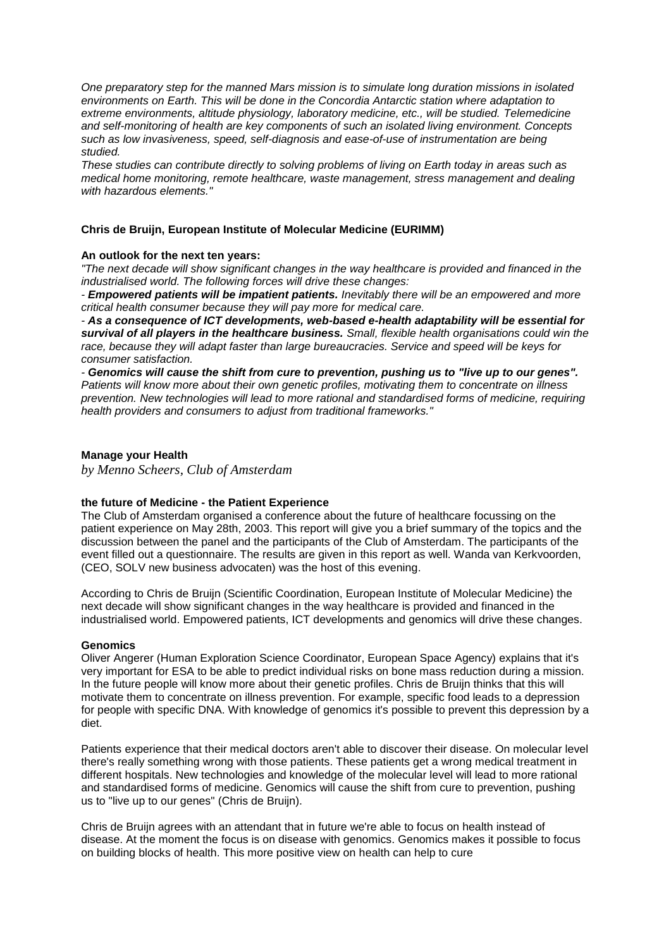*One preparatory step for the manned Mars mission is to simulate long duration missions in isolated environments on Earth. This will be done in the Concordia Antarctic station where adaptation to extreme environments, altitude physiology, laboratory medicine, etc., will be studied. Telemedicine and self-monitoring of health are key components of such an isolated living environment. Concepts such as low invasiveness, speed, self-diagnosis and ease-of-use of instrumentation are being studied.* 

*These studies can contribute directly to solving problems of living on Earth today in areas such as medical home monitoring, remote healthcare, waste management, stress management and dealing with hazardous elements."*

# **Chris de Bruijn, European Institute of Molecular Medicine (EURIMM)**

## **An outlook for the next ten years:**

*"The next decade will show significant changes in the way healthcare is provided and financed in the industrialised world. The following forces will drive these changes:* 

*- Empowered patients will be impatient patients. Inevitably there will be an empowered and more critical health consumer because they will pay more for medical care.* 

*- As a consequence of ICT developments, web-based e-health adaptability will be essential for survival of all players in the healthcare business. Small, flexible health organisations could win the race, because they will adapt faster than large bureaucracies. Service and speed will be keys for consumer satisfaction.* 

*- Genomics will cause the shift from cure to prevention, pushing us to "live up to our genes". Patients will know more about their own genetic profiles, motivating them to concentrate on illness prevention. New technologies will lead to more rational and standardised forms of medicine, requiring health providers and consumers to adjust from traditional frameworks."* 

# **Manage your Health**

*by Menno Scheers, Club of Amsterdam*

# **the future of Medicine - the Patient Experience**

The Club of Amsterdam organised a conference about the future of healthcare focussing on the patient experience on May 28th, 2003. This report will give you a brief summary of the topics and the discussion between the panel and the participants of the Club of Amsterdam. The participants of the event filled out a questionnaire. The results are given in this report as well. Wanda van Kerkvoorden, (CEO, SOLV new business advocaten) was the host of this evening.

According to Chris de Bruijn (Scientific Coordination, European Institute of Molecular Medicine) the next decade will show significant changes in the way healthcare is provided and financed in the industrialised world. Empowered patients, ICT developments and genomics will drive these changes.

## **Genomics**

Oliver Angerer (Human Exploration Science Coordinator, European Space Agency) explains that it's very important for ESA to be able to predict individual risks on bone mass reduction during a mission. In the future people will know more about their genetic profiles. Chris de Bruijn thinks that this will motivate them to concentrate on illness prevention. For example, specific food leads to a depression for people with specific DNA. With knowledge of genomics it's possible to prevent this depression by a diet.

Patients experience that their medical doctors aren't able to discover their disease. On molecular level there's really something wrong with those patients. These patients get a wrong medical treatment in different hospitals. New technologies and knowledge of the molecular level will lead to more rational and standardised forms of medicine. Genomics will cause the shift from cure to prevention, pushing us to "live up to our genes" (Chris de Bruijn).

Chris de Bruijn agrees with an attendant that in future we're able to focus on health instead of disease. At the moment the focus is on disease with genomics. Genomics makes it possible to focus on building blocks of health. This more positive view on health can help to cure